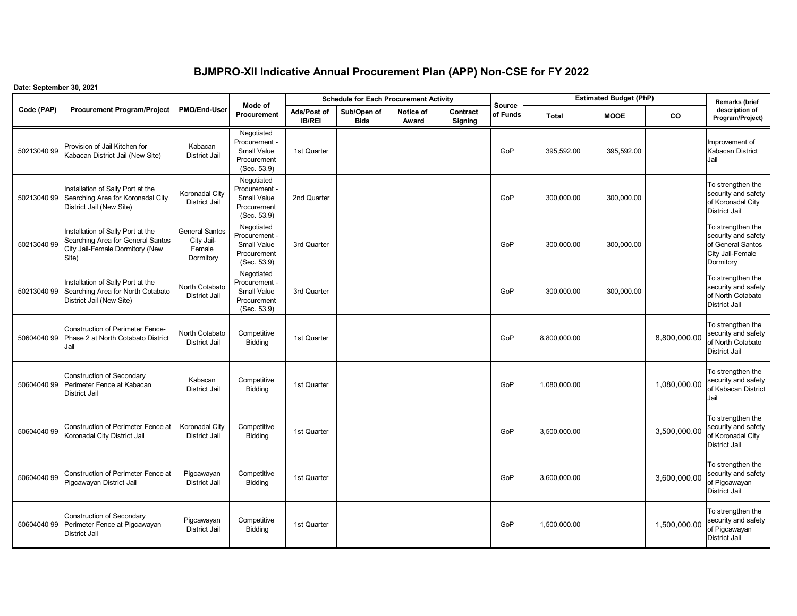## **BJMPRO-XII Indicative Annual Procurement Plan (APP) Non-CSE for FY 2022**

## **Date: September 30, 2021**

|             |                                                                                                                    |                                                            | Mode of                                                                         |                              | <b>Schedule for Each Procurement Activity</b> |                    |                     | <b>Source</b> | <b>Estimated Budget (PhP)</b> | Remarks (brief |              |                                                                                                |
|-------------|--------------------------------------------------------------------------------------------------------------------|------------------------------------------------------------|---------------------------------------------------------------------------------|------------------------------|-----------------------------------------------|--------------------|---------------------|---------------|-------------------------------|----------------|--------------|------------------------------------------------------------------------------------------------|
| Code (PAP)  | <b>Procurement Program/Project</b>                                                                                 | PMO/End-User                                               | <b>Procurement</b>                                                              | Ads/Post of<br><b>IB/REI</b> | Sub/Open of<br><b>Bids</b>                    | Notice of<br>Award | Contract<br>Signing | of Funds      | <b>Total</b>                  | <b>MOOE</b>    | <b>CO</b>    | description of<br>Program/Project)                                                             |
| 50213040 99 | Provision of Jail Kitchen for<br>Kabacan District Jail (New Site)                                                  | Kabacan<br><b>District Jail</b>                            | Negotiated<br>Procurement -<br>Small Value<br>Procurement<br>(Sec. 53.9)        | 1st Quarter                  |                                               |                    |                     | GoP           | 395,592.00                    | 395,592.00     |              | Improvement of<br>Kabacan District<br>Jail                                                     |
| 50213040 99 | Installation of Sally Port at the<br>Searching Area for Koronadal City<br>District Jail (New Site)                 | Koronadal City<br><b>District Jail</b>                     | Negotiated<br>Procurement -<br><b>Small Value</b><br>Procurement<br>(Sec. 53.9) | 2nd Quarter                  |                                               |                    |                     | GoP           | 300,000.00                    | 300,000.00     |              | To strengthen the<br>security and safety<br>of Koronadal City<br>District Jail                 |
| 50213040 99 | Installation of Sally Port at the<br>Searching Area for General Santos<br>City Jail-Female Dormitory (New<br>Site) | <b>General Santos</b><br>City Jail-<br>Female<br>Dormitory | Negotiated<br>Procurement -<br>Small Value<br>Procurement<br>(Sec. 53.9)        | 3rd Quarter                  |                                               |                    |                     | GoP           | 300,000.00                    | 300,000.00     |              | To strengthen the<br>security and safety<br>of General Santos<br>City Jail-Female<br>Dormitory |
| 50213040 99 | Installation of Sally Port at the<br>Searching Area for North Cotabato<br>District Jail (New Site)                 | North Cotabato<br><b>District Jail</b>                     | Negotiated<br>Procurement -<br>Small Value<br>Procurement<br>(Sec. 53.9)        | 3rd Quarter                  |                                               |                    |                     | GoP           | 300,000.00                    | 300,000.00     |              | To strengthen the<br>security and safety<br>of North Cotabato<br>District Jail                 |
| 50604040 99 | <b>Construction of Perimeter Fence-</b><br>Phase 2 at North Cotabato District<br>Jail                              | North Cotabato<br><b>District Jail</b>                     | Competitive<br>Bidding                                                          | 1st Quarter                  |                                               |                    |                     | GoP           | 8,800,000.00                  |                | 8,800,000.00 | To strengthen the<br>security and safety<br>of North Cotabato<br>District Jail                 |
| 50604040 99 | <b>Construction of Secondary</b><br>Perimeter Fence at Kabacan<br><b>District Jail</b>                             | Kabacan<br><b>District Jail</b>                            | Competitive<br>Bidding                                                          | 1st Quarter                  |                                               |                    |                     | GoP           | 1,080,000.00                  |                | 1,080,000.00 | To strengthen the<br>security and safety<br>of Kabacan District<br>Jail                        |
| 50604040 99 | Construction of Perimeter Fence at<br>Koronadal City District Jail                                                 | Koronadal City<br><b>District Jail</b>                     | Competitive<br>Bidding                                                          | 1st Quarter                  |                                               |                    |                     | GoP           | 3,500,000.00                  |                | 3,500,000.00 | To strengthen the<br>security and safety<br>of Koronadal City<br>District Jail                 |
| 50604040 99 | Construction of Perimeter Fence at<br>Pigcawayan District Jail                                                     | Pigcawayan<br><b>District Jail</b>                         | Competitive<br>Bidding                                                          | 1st Quarter                  |                                               |                    |                     | GoP           | 3,600,000.00                  |                | 3,600,000.00 | To strengthen the<br>security and safety<br>of Pigcawayan<br><b>District Jail</b>              |
| 50604040 99 | Construction of Secondary<br>Perimeter Fence at Pigcawayan<br><b>District Jail</b>                                 | Pigcawayan<br><b>District Jail</b>                         | Competitive<br>Bidding                                                          | 1st Quarter                  |                                               |                    |                     | GoP           | 1,500,000.00                  |                | 1,500,000.00 | To strengthen the<br>security and safety<br>of Pigcawayan<br><b>District Jail</b>              |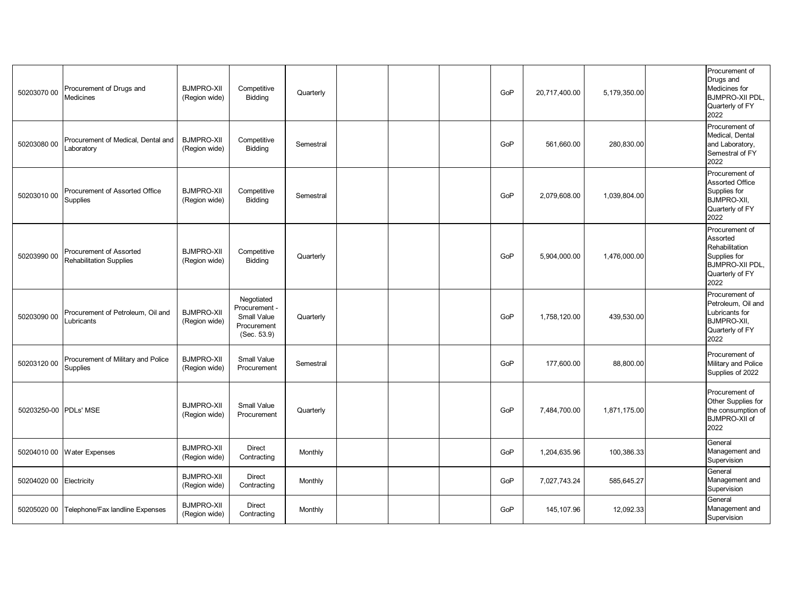| 50203070 00           | Procurement of Drugs and<br><b>Medicines</b>              | <b>BJMPRO-XII</b><br>(Region wide) | Competitive<br>Bidding                                                          | Quarterly |  | GoP | 20,717,400.00 | 5,179,350.00 | Procurement of<br>Drugs and<br>Medicines for<br><b>BJMPRO-XII PDL,</b><br>Quarterly of FY<br>2022                 |
|-----------------------|-----------------------------------------------------------|------------------------------------|---------------------------------------------------------------------------------|-----------|--|-----|---------------|--------------|-------------------------------------------------------------------------------------------------------------------|
| 50203080 00           | Procurement of Medical. Dental and<br>Laboratory          | <b>BJMPRO-XII</b><br>(Region wide) | Competitive<br>Bidding                                                          | Semestral |  | GoP | 561,660.00    | 280,830.00   | Procurement of<br>Medical, Dental<br>and Laboratory,<br>Semestral of FY<br>2022                                   |
| 50203010 00           | Procurement of Assorted Office<br><b>Supplies</b>         | <b>BJMPRO-XII</b><br>(Region wide) | Competitive<br>Bidding                                                          | Semestral |  | GoP | 2,079,608.00  | 1,039,804.00 | Procurement of<br><b>Assorted Office</b><br>Supplies for<br><b>BJMPRO-XII,</b><br>Quarterly of FY<br>2022         |
| 50203990 00           | Procurement of Assorted<br><b>Rehabilitation Supplies</b> | <b>BJMPRO-XII</b><br>(Region wide) | Competitive<br>Bidding                                                          | Quarterly |  | GoP | 5,904,000.00  | 1,476,000.00 | Procurement of<br>Assorted<br>Rehabilitation<br>Supplies for<br><b>BJMPRO-XII PDL,</b><br>Quarterly of FY<br>2022 |
| 50203090 00           | Procurement of Petroleum, Oil and<br>Lubricants           | <b>BJMPRO-XII</b><br>(Region wide) | Negotiated<br>Procurement -<br><b>Small Value</b><br>Procurement<br>(Sec. 53.9) | Quarterly |  | GoP | 1,758,120.00  | 439,530.00   | Procurement of<br>Petroleum, Oil and<br>Lubricants for<br>BJMPRO-XII,<br>Quarterly of FY<br>2022                  |
| 50203120 00           | Procurement of Military and Police<br>Supplies            | <b>BJMPRO-XII</b><br>(Region wide) | <b>Small Value</b><br>Procurement                                               | Semestral |  | GoP | 177,600.00    | 88,800.00    | Procurement of<br>Military and Police<br>Supplies of 2022                                                         |
| 50203250-00 PDLs' MSE |                                                           | <b>BJMPRO-XII</b><br>(Region wide) | Small Value<br>Procurement                                                      | Quarterly |  | GoP | 7,484,700.00  | 1,871,175.00 | Procurement of<br>Other Supplies for<br>the consumption of<br><b>BJMPRO-XII of</b><br>2022                        |
|                       | 50204010 00 Water Expenses                                | <b>BJMPRO-XII</b><br>(Region wide) | Direct<br>Contracting                                                           | Monthly   |  | GoP | 1,204,635.96  | 100,386.33   | General<br>Management and<br>Supervision                                                                          |
| 50204020 00           | Electricity                                               | <b>BJMPRO-XII</b><br>(Region wide) | <b>Direct</b><br>Contracting                                                    | Monthly   |  | GoP | 7,027,743.24  | 585,645.27   | General<br>Management and<br>Supervision                                                                          |
| 50205020 00           | Telephone/Fax landline Expenses                           | <b>BJMPRO-XII</b><br>(Region wide) | Direct<br>Contracting                                                           | Monthly   |  | GoP | 145,107.96    | 12,092.33    | General<br>Management and<br>Supervision                                                                          |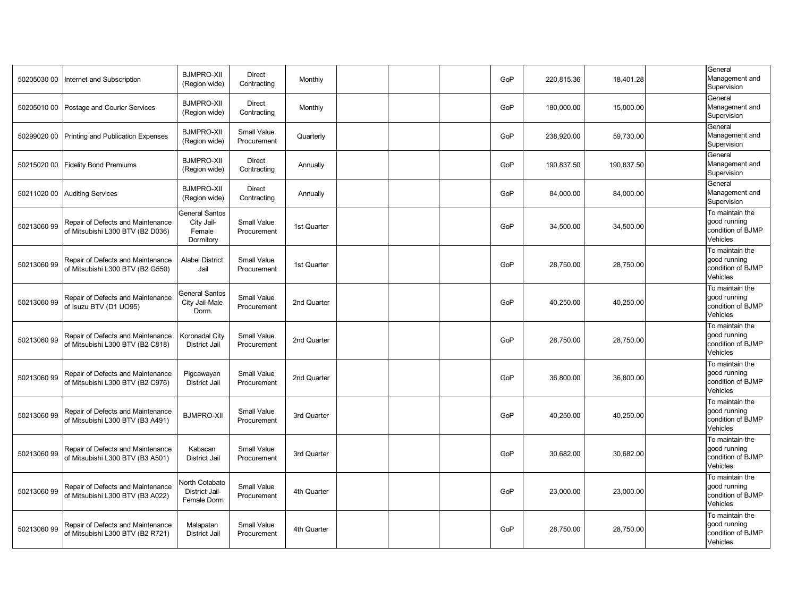| 50205030 00 | Internet and Subscription                                             | <b>BJMPRO-XII</b><br>(Region wide)                         | Direct<br>Contracting             | Monthly     |  | GoP | 220,815.36 | 18,401.28  | General<br>Management and<br>Supervision                         |
|-------------|-----------------------------------------------------------------------|------------------------------------------------------------|-----------------------------------|-------------|--|-----|------------|------------|------------------------------------------------------------------|
| 50205010 00 | Postage and Courier Services                                          | <b>BJMPRO-XII</b><br>(Region wide)                         | Direct<br>Contracting             | Monthly     |  | GoP | 180,000.00 | 15,000.00  | General<br>Management and<br>Supervision                         |
| 50299020 00 | Printing and Publication Expenses                                     | <b>BJMPRO-XII</b><br>(Region wide)                         | Small Value<br>Procurement        | Quarterly   |  | GoP | 238,920.00 | 59,730.00  | General<br>Management and<br>Supervision                         |
| 50215020 00 | <b>Fidelity Bond Premiums</b>                                         | <b>BJMPRO-XII</b><br>(Region wide)                         | Direct<br>Contracting             | Annually    |  | GoP | 190,837.50 | 190,837.50 | General<br>Management and<br>Supervision                         |
| 50211020 00 | <b>Auditing Services</b>                                              | <b>BJMPRO-XII</b><br>(Region wide)                         | Direct<br>Contracting             | Annually    |  | GoP | 84,000.00  | 84,000.00  | General<br>Management and<br>Supervision                         |
| 50213060 99 | Repair of Defects and Maintenance<br>of Mitsubishi L300 BTV (B2 D036) | <b>General Santos</b><br>City Jail-<br>Female<br>Dormitory | Small Value<br>Procurement        | 1st Quarter |  | GoP | 34,500.00  | 34,500.00  | To maintain the<br>good running<br>condition of BJMP<br>Vehicles |
| 50213060 99 | Repair of Defects and Maintenance<br>of Mitsubishi L300 BTV (B2 G550) | <b>Alabel District</b><br>Jail                             | Small Value<br>Procurement        | 1st Quarter |  | GoP | 28,750.00  | 28,750.00  | To maintain the<br>good running<br>condition of BJMP<br>Vehicles |
| 50213060 99 | Repair of Defects and Maintenance<br>of Isuzu BTV (D1 UO95)           | <b>General Santos</b><br>City Jail-Male<br>Dorm.           | Small Value<br>Procurement        | 2nd Quarter |  | GoP | 40,250.00  | 40,250.00  | To maintain the<br>good running<br>condition of BJMP<br>Vehicles |
| 50213060 99 | Repair of Defects and Maintenance<br>of Mitsubishi L300 BTV (B2 C818) | Koronadal City<br><b>District Jail</b>                     | Small Value<br>Procurement        | 2nd Quarter |  | GoP | 28,750.00  | 28,750.00  | To maintain the<br>good running<br>condition of BJMP<br>Vehicles |
| 50213060 99 | Repair of Defects and Maintenance<br>of Mitsubishi L300 BTV (B2 C976) | Pigcawayan<br><b>District Jail</b>                         | Small Value<br>Procurement        | 2nd Quarter |  | GoP | 36,800.00  | 36,800.00  | To maintain the<br>good running<br>condition of BJMP<br>Vehicles |
| 50213060 99 | Repair of Defects and Maintenance<br>of Mitsubishi L300 BTV (B3 A491) | <b>BJMPRO-XII</b>                                          | <b>Small Value</b><br>Procurement | 3rd Quarter |  | GoP | 40,250.00  | 40,250.00  | To maintain the<br>good running<br>condition of BJMP<br>Vehicles |
| 50213060 99 | Repair of Defects and Maintenance<br>of Mitsubishi L300 BTV (B3 A501) | Kabacan<br><b>District Jail</b>                            | Small Value<br>Procurement        | 3rd Quarter |  | GoP | 30,682.00  | 30,682.00  | To maintain the<br>good running<br>condition of BJMP<br>Vehicles |
| 50213060 99 | Repair of Defects and Maintenance<br>of Mitsubishi L300 BTV (B3 A022) | <b>North Cotabato</b><br>District Jail-<br>Female Dorm     | <b>Small Value</b><br>Procurement | 4th Quarter |  | GoP | 23,000.00  | 23,000.00  | To maintain the<br>good running<br>condition of BJMP<br>Vehicles |
| 50213060 99 | Repair of Defects and Maintenance<br>of Mitsubishi L300 BTV (B2 R721) | Malapatan<br><b>District Jail</b>                          | Small Value<br>Procurement        | 4th Quarter |  | GoP | 28,750.00  | 28,750.00  | To maintain the<br>good running<br>condition of BJMP<br>Vehicles |